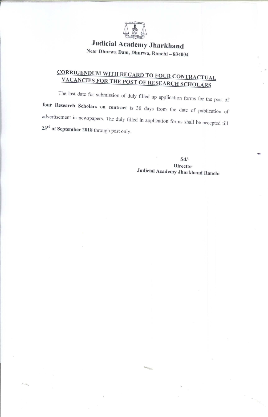

**Judicial Academy Jharkhand** Near Dhurwa Dam, Dhurwa, Ranchi - 834004

# **CORRIGENDUM WITH REGARD TO FOUR CONTRACTUAL** VACANCIES FOR THE POST OF RESEARCH SCHOLARS

The last date for submission of duly filled up application forms for the post of four Research Scholars on contract is 30 days from the date of publication of advertisement in newspapers. The duly filled in application forms shall be accepted till  $23^{\rm rd}$  of September 2018 through post only.

> $Sd$ /-**Director** Judicial Academy Jharkhand Ranchi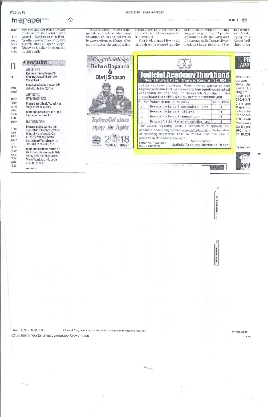#### 8/25/2018

# ht epaper

sue rowing and today ne nas<br>made all of us proud," said<br>Amrik, Sukhmeet's father.<br>Another rower from Punjab's<br>Thatthi Bhai village in Moga.<br>Bhagwan Singh, won bronzein **KKII** the ears ess ter's s to double sculls.

 $\triangle$ 

|                                           | ARCHERY<br>Recurve mixed team1/8<br>eliminations: India lost to<br>Mangolia 4-5.                                                                                                 |
|-------------------------------------------|----------------------------------------------------------------------------------------------------------------------------------------------------------------------------------|
| xin-                                      | Compound mixed team QF:<br>India lost to Iran 153-155.                                                                                                                           |
| heof<br>lver                              | ARTISTIC<br><b>GYMNASTICS</b>                                                                                                                                                    |
| the<br>n of                               | Men's vault final: Yogeshwar<br>Singh failed to qualify.                                                                                                                         |
| Min-<br><b>ken</b>                        | Women's balance final: Dipa<br>Karmakar finished 5th                                                                                                                             |
| con-<br>Dro-                              | BADMINTON                                                                                                                                                                        |
| nost<br>ara-<br>iire.<br>have<br>four     | Men's singles 32: Kidambi<br>Srikanth lost to Vincent Wong<br>Wing of Hong Kong 21-23,<br>19-21; HS Prannoy lost to<br>Kantaphon Wangcharoen of<br>Thailand 12-21, 21-15, 15-21. |
| the<br>like<br>bunt<br>ame<br>van.<br>div | Women's doubles round of<br>16: Ashwini Ponnappa/N Sikki<br>Reddy beat Mei Kuan Chow/<br>Meng Yean Lee of Malaysia<br>21-17, 16-21, 21-19.                                       |

DAVING

k.

Unfortunately, the most antic-<br>ipated contest at the Palembang<br>Shooting Complex did not live up<br>to expectations as Manu, after giving hope in the qualification

anead of her before a poor last shot of 9.6 ended her hopes of a better medal.<br>Poor luck plagued Heena all

Hindustan Times e-Paper

through as she scraped into the

start to avoid enmination and keep moving up. Just 0.1 points separated Heena, the Gold Coast<br>Commonwealth Games silvermedallist in air pistol, and the

abie to appr.<br>well," said F flying to (<br>Korea)forth ships on Au

Sign in

| Congratulations<br>Rohan Bopanna              | <b>Judicial Academy Jharkhand</b><br>Near Dhurwa Dam, Dhurwa, Ranchi - 834004<br>Judicial Academy Jharkhand. Ranchi invites application from<br>eligible candidates to fill up the existing four purely contractual<br>vacancies for the post of Research Scholar in the<br>consolidated pay of Rs. 50,000/- per month for one year. |              |  |  |  |
|-----------------------------------------------|--------------------------------------------------------------------------------------------------------------------------------------------------------------------------------------------------------------------------------------------------------------------------------------------------------------------------------------|--------------|--|--|--|
| Divij Sharan                                  |                                                                                                                                                                                                                                                                                                                                      |              |  |  |  |
|                                               | SI. No. Nomenclature of the posts                                                                                                                                                                                                                                                                                                    | No. of posts |  |  |  |
|                                               | Research Scholar (Constitutional Law)                                                                                                                                                                                                                                                                                                | 01           |  |  |  |
|                                               | Research Scholar (Civil Law)<br>$\mathcal{L}$                                                                                                                                                                                                                                                                                        | 01           |  |  |  |
|                                               | Research Scholar (Criminal Law)<br>$\ddot{\ddot{\textbf{z}}}$                                                                                                                                                                                                                                                                        | $\mathbf{H}$ |  |  |  |
| IndianOil stars                               | Research Scholar (Corporate and other Law).                                                                                                                                                                                                                                                                                          | 01           |  |  |  |
| shine for India<br>YEAR OF TRUST<br>IndianOil | The details regarding posts & procedure of applying are<br>available in Academy website www.ja.harkhand.in The last date<br>of receiving application shall be 21days from the date of<br>publication of this advertisement.<br>Sdl-Director<br>Letter No. 1343/JAJ<br>Judicial Academy Jharkhand Ranchi<br>Date - 24/8/2018          |              |  |  |  |

# Thumbnails

Bookmarks

Page: 30(26) - 31(27) of 54 Click and Drag mouse to move the lens / Double click to close the zoom lens ttp://paper.hindustantimes.com/epaper/viewer.aspx

© PressReader  $1/1$ 

 $\sim \sigma_{\rm bkg}$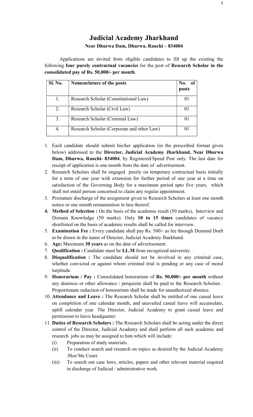## Judicial Academy Jharkhand Near Dhurwa Dam, Dhurwa, Ranchi – 834004

Applications are invited from eligible candidates to fill up the existing the following four purely contractual vacancies for the post of Research Scholar in the consolidated pay of Rs. 50,000/- per month.

| <b>Sl. No.</b> | Nomenclature of the posts                  | No. of<br>posts |
|----------------|--------------------------------------------|-----------------|
| 1.             | Research Scholar (Constitutional Law)      | 01              |
| 2.             | Research Scholar (Civil Law)               | 01              |
| 3.             | Research Scholar (Criminal Law)            | $_{01}$         |
| 4.             | Research Scholar (Corporate and other Law) |                 |

- 1. Each candidate should submit his/her application (in the prescribed format given below) addressed to the Director, Judicial Academy Jharkhand, Near Dhurwa Dam, Dhurwa, Ranchi- 834004, by Registered/Speed Post only. The last date for receipt of application is one month from the date of advertisement.
- 2. Research Scholars shall be engaged purely on temporary contractual basis initially for a term of one year with extension for further period of one year at a time on satisfaction of the Governing Body for a maximum period upto five years, which shall not entail person concerned to claim any regular appointment.
- 3. Premature discharge of the assignment given to Research Scholars at least one month notice or one month remuneration in lieu thereof.
- 4. Method of Selection : On the basis of the academic result (50 marks), Interview and Domain Knowledge (50 marks). Only 10 to 15 times candidates of vacancy shortlisted on the basis of academic results shall be called for interview.
- 5. Examination Fee : Every candidate shall pay Rs. 500/- as fee through Demand Draft to be drawn in the name of Director, Judicial Academy Jharkhand.
- 6. Age: Maximum 30 years as on the date of advertisement.
- 7. Qualification : Candidate must be LL.M from recognized university.
- 8. Disqualification : The candidate should not be involved in any criminal case, whether convicted or against whom criminal trial is pending or any case of moral turpitude.
- 9. Honorarium / Pay : Consolidated honorarium of Rs. 50,000/- per month without any dearness or other allowance / perquisite shall be paid to the Research Scholars . Proportionate reduction of honorarium shall be made for unauthorized absence.
- 10. Attendance and Leave : The Research Scholar shall be entitled of one casual leave on completion of one calendar month, and unavailed casual leave will accumulate, uptill calendar year. The Director, Judicial Academy to grant casual leave and permission to leave headquarter.
- 11. Duties of Research Scholars : The Research Scholars shall be acting under the direct control of the Director, Judicial Academy and shall perform all such academic and research jobs as may be assigned to him which will include:
	- (i) Preparation of study materials.
	- (ii) To conduct search and research on topics as desired by the Judicial Academy /Hon'ble Court.
	- (iii) To search out case laws, articles, papers and other relevant material required in discharge of Judicial / administrative work.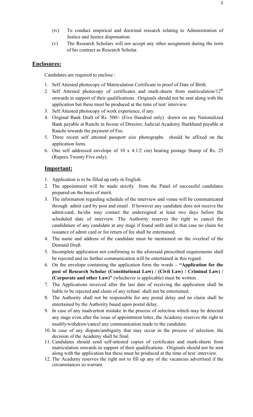- (iv) To conduct empirical and doctrinal research relating to Administration of Justice and Justice dispensation.
- (v) The Research Scholars will not accept any other assignment during the term of his contract as Research Scholar.

#### Enclosures:

Candidates are required to enclose :

- 1. Self Attested photocopy of Matriculation Certificate in proof of Date of Birth.
- 2. Self Attested photocopy of certificates and mark-sheets from matriculation/ $12<sup>th</sup>$ onwards in support of their qualifications. Originals should not be sent along with the application but these must be produced at the time of test/ interview.
- 3. Self Attested photocopy of work experience, if any.
- 4. Original Bank Draft of Rs. 500/- (Five Hundred only) drawn on any Nationalized Bank payable at Ranchi in favour of Director, Judicial Academy Jharkhand payable at Ranchi towards the payment of Fee.
- 5. Three recent self attested passport size photographs should be affixed on the application form.
- 6. One self addressed envelope of 10 x 4.1/2 cm) bearing postage Stamp of Rs. 25 (Rupees Twenty Five only).

#### Important:

- 1. Application is to be filled up only in English.
- 2. The appointment will be made strictly from the Panel of successful candidates prepared on the basis of merit.
- 3. The information regarding schedule of the interview and venue will be communicated through admit card by post and email . If however any candidate does not receive the admit-card, he/she may contact the undersigned at least two days before the scheduled date of interview. The Authority reserves the right to cancel the candidature of any candidate at any stage if found unfit and in that case no claim for issuance of admit card or for return of fee shall be entertained.
- 4. The name and address of the candidate must be mentioned on the overleaf of the Demand Draft.
- 5. Incomplete application not confirming to the aforesaid prescribed requirements shall be rejected and no further communication will be entertained in this regard.
- 6. On the envelope containing the application form the words "Application for the post of Research Scholar (Constitutional Law) / (Civil Law) / Criminal Law) / (Corporate and other Law)" (whichever is applicable) must be written.
- 7. The Applications received after the last date of receiving the application shall be liable to be rejected and claim of any refund shall not be entertained.
- 8. The Authority shall not be responsible for any postal delay and no claim shall be entertained by the Authority based upon postal delay.
- 9. In case of any inadvertent mistake in the process of selection which may be detected any stage even after the issue of appointment letter, the Academy reserves the right to modify/withdraw/cancel any communication made to the candidate.
- 10. In case of any dispute/ambiguity that may occur in the process of selection, the decision of the Academy shall be final.
- 11. Candidates should send self-attested copies of certificates and mark-sheets from matriculation onwards in support of their qualifications. Originals should not be sent along with the application but these must be produced at the time of test/ interview.
- 12. The Academy reserves the right not to fill up any of the vacancies advertised if the circumstances so warrant.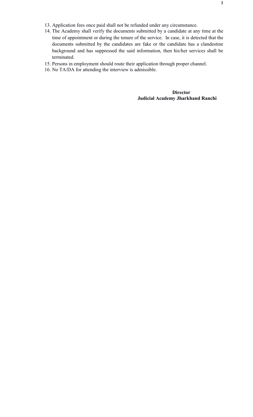- 13. Application fees once paid shall not be refunded under any circumstance.
- 14. The Academy shall verify the documents submitted by a candidate at any time at the time of appointment or during the tenure of the service. In case, it is detected that the documents submitted by the candidates are fake or the candidate has a clandestine background and has suppressed the said information, then his/her services shall be terminated.
- 15. Persons in employment should route their application through proper channel.
- 16. No TA/DA for attending the interview is admissible.

**Director** Judicial Academy Jharkhand Ranchi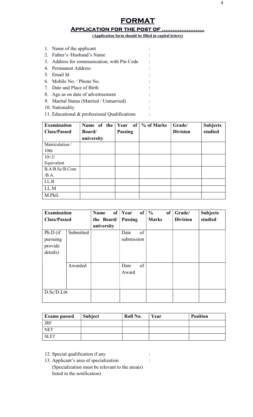# **FORMAT**

### Application for the post of ……………………

(Application form should be filled in capital letters)

| 1. Name of the applicant                    |  |
|---------------------------------------------|--|
| 2. Father's /Husband's Name                 |  |
| 3. Address for communication, with Pin Code |  |
| 4. Permanent Address                        |  |
| 5. Email Id                                 |  |
| 6. Mobile No. / Phone No.                   |  |
| 7. Date and Place of Birth                  |  |
| 8. Age as on date of advertisement          |  |
| 9. Marital Status (Married / Unmarried)     |  |

- 10. Nationality : the state of the state of the state of the state of the state of the state of the state of the state of the state of the state of the state of the state of the state of the state of the state of the state
- 11. Educational & professional Qualifications :

| <b>Examination</b>  | Name of the | Year           | of $\frac{9}{6}$ of Marks | Grade/          | <b>Subjects</b> |
|---------------------|-------------|----------------|---------------------------|-----------------|-----------------|
| <b>Class/Passed</b> | Board/      | <b>Passing</b> |                           | <b>Division</b> | studied         |
|                     | university  |                |                           |                 |                 |
| Matriculation /     |             |                |                           |                 |                 |
| 10 <sub>th</sub>    |             |                |                           |                 |                 |
| $10+2/$             |             |                |                           |                 |                 |
| Equivalent          |             |                |                           |                 |                 |
| B.A/B.Sc/B.Com      |             |                |                           |                 |                 |
| /B.A.               |             |                |                           |                 |                 |
| LL.B                |             |                |                           |                 |                 |
| LL.M                |             |                |                           |                 |                 |
| M.Phil.             |             |                |                           |                 |                 |

| <b>Examination</b>                          |           | <b>Name</b> | of | Year               | <b>of</b> | $\frac{0}{0}$ | <b>of</b> | Grade/          | <b>Subjects</b> |
|---------------------------------------------|-----------|-------------|----|--------------------|-----------|---------------|-----------|-----------------|-----------------|
| <b>Class/Passed</b>                         |           | the Board/  |    | <b>Passing</b>     |           | <b>Marks</b>  |           | <b>Division</b> | studied         |
|                                             |           | university  |    |                    |           |               |           |                 |                 |
| Ph.D (if<br>pursuing<br>provide<br>details) | Submitted |             |    | Date<br>submission | of        |               |           |                 |                 |
|                                             | Awarded   |             |    | Date<br>Award      | of        |               |           |                 |                 |
| D.Sc/D.Litt                                 |           |             |    |                    |           |               |           |                 |                 |

| <b>Exams passed</b> | <b>Subject</b> | Roll No. | Year | <b>Position</b> |
|---------------------|----------------|----------|------|-----------------|
| <b>JRF</b>          |                |          |      |                 |
| <b>NET</b>          |                |          |      |                 |
| <b>SLET</b>         |                |          |      |                 |

- 12. Special qualification if any :
- 13. Applicant's area of specialization : (Specialization must be relevant to the area(s) listed in the notification)